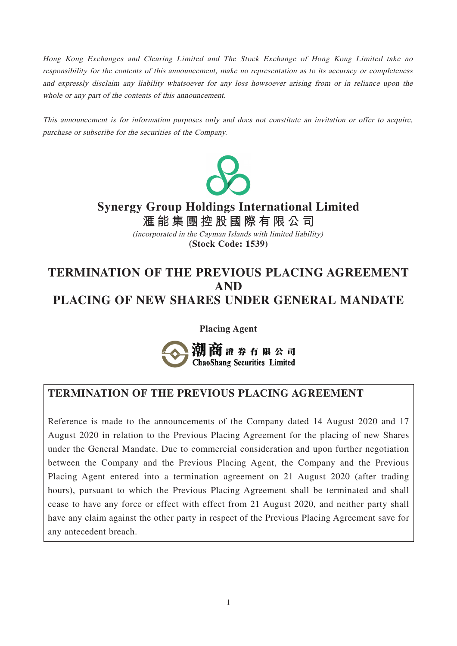Hong Kong Exchanges and Clearing Limited and The Stock Exchange of Hong Kong Limited take no responsibility for the contents of this announcement, make no representation as to its accuracy or completeness and expressly disclaim any liability whatsoever for any loss howsoever arising from or in reliance upon the whole or any part of the contents of this announcement.

This announcement is for information purposes only and does not constitute an invitation or offer to acquire, purchase or subscribe for the securities of the Company.



# **Synergy Group Holdings International Limited**

**滙能集團控股國際有限公 司 (Stock Code: 1539)** (incorporated in the Cayman Islands with limited liability)

# **TERMINATION OF THE PREVIOUS PLACING AGREEMENT AND PLACING OF NEW SHARES UNDER GENERAL MANDATE**

**Placing Agent**



### **TERMINATION OF THE PREVIOUS PLACING AGREEMENT**

Reference is made to the announcements of the Company dated 14 August 2020 and 17 August 2020 in relation to the Previous Placing Agreement for the placing of new Shares under the General Mandate. Due to commercial consideration and upon further negotiation between the Company and the Previous Placing Agent, the Company and the Previous Placing Agent entered into a termination agreement on 21 August 2020 (after trading hours), pursuant to which the Previous Placing Agreement shall be terminated and shall cease to have any force or effect with effect from 21 August 2020, and neither party shall have any claim against the other party in respect of the Previous Placing Agreement save for any antecedent breach.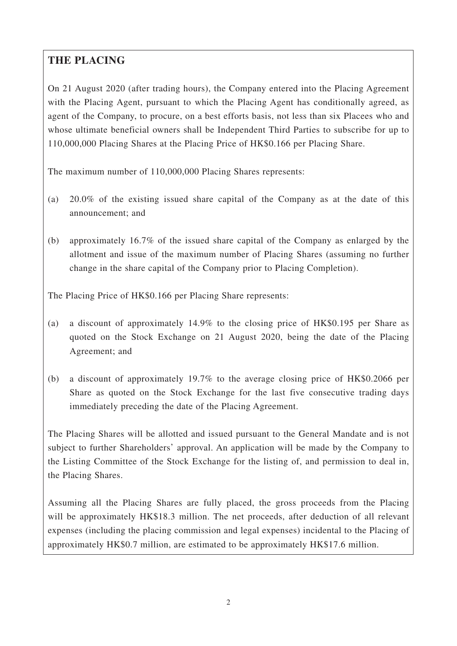### **THE PLACING**

On 21 August 2020 (after trading hours), the Company entered into the Placing Agreement with the Placing Agent, pursuant to which the Placing Agent has conditionally agreed, as agent of the Company, to procure, on a best efforts basis, not less than six Placees who and whose ultimate beneficial owners shall be Independent Third Parties to subscribe for up to 110,000,000 Placing Shares at the Placing Price of HK\$0.166 per Placing Share.

The maximum number of 110,000,000 Placing Shares represents:

- (a) 20.0% of the existing issued share capital of the Company as at the date of this announcement; and
- (b) approximately 16.7% of the issued share capital of the Company as enlarged by the allotment and issue of the maximum number of Placing Shares (assuming no further change in the share capital of the Company prior to Placing Completion).

The Placing Price of HK\$0.166 per Placing Share represents:

- (a) a discount of approximately 14.9% to the closing price of HK\$0.195 per Share as quoted on the Stock Exchange on 21 August 2020, being the date of the Placing Agreement; and
- (b) a discount of approximately 19.7% to the average closing price of HK\$0.2066 per Share as quoted on the Stock Exchange for the last five consecutive trading days immediately preceding the date of the Placing Agreement.

The Placing Shares will be allotted and issued pursuant to the General Mandate and is not subject to further Shareholders' approval. An application will be made by the Company to the Listing Committee of the Stock Exchange for the listing of, and permission to deal in, the Placing Shares.

Assuming all the Placing Shares are fully placed, the gross proceeds from the Placing will be approximately HK\$18.3 million. The net proceeds, after deduction of all relevant expenses (including the placing commission and legal expenses) incidental to the Placing of approximately HK\$0.7 million, are estimated to be approximately HK\$17.6 million.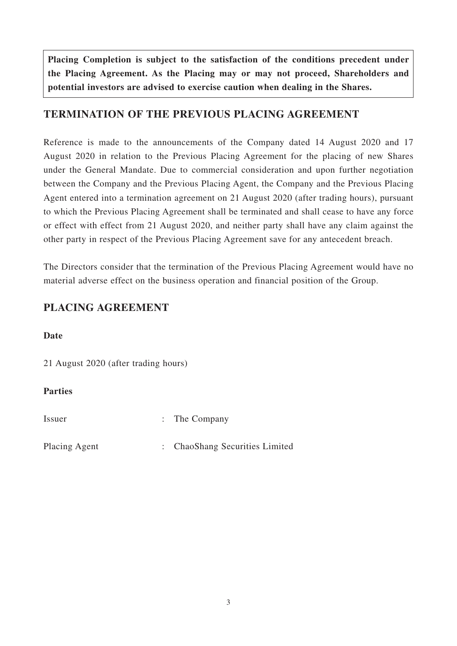**Placing Completion is subject to the satisfaction of the conditions precedent under the Placing Agreement. As the Placing may or may not proceed, Shareholders and potential investors are advised to exercise caution when dealing in the Shares.**

### **TERMINATION OF THE PREVIOUS PLACING AGREEMENT**

Reference is made to the announcements of the Company dated 14 August 2020 and 17 August 2020 in relation to the Previous Placing Agreement for the placing of new Shares under the General Mandate. Due to commercial consideration and upon further negotiation between the Company and the Previous Placing Agent, the Company and the Previous Placing Agent entered into a termination agreement on 21 August 2020 (after trading hours), pursuant to which the Previous Placing Agreement shall be terminated and shall cease to have any force or effect with effect from 21 August 2020, and neither party shall have any claim against the other party in respect of the Previous Placing Agreement save for any antecedent breach.

The Directors consider that the termination of the Previous Placing Agreement would have no material adverse effect on the business operation and financial position of the Group.

### **PLACING AGREEMENT**

#### **Date**

21 August 2020 (after trading hours)

#### **Parties**

Issuer : The Company

Placing Agent : ChaoShang Securities Limited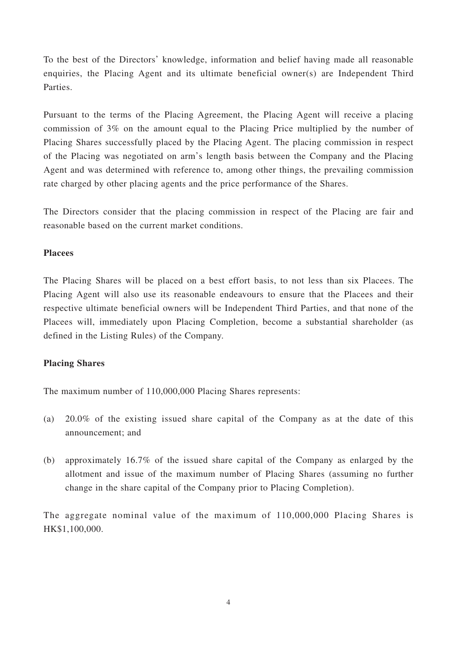To the best of the Directors' knowledge, information and belief having made all reasonable enquiries, the Placing Agent and its ultimate beneficial owner(s) are Independent Third Parties.

Pursuant to the terms of the Placing Agreement, the Placing Agent will receive a placing commission of 3% on the amount equal to the Placing Price multiplied by the number of Placing Shares successfully placed by the Placing Agent. The placing commission in respect of the Placing was negotiated on arm's length basis between the Company and the Placing Agent and was determined with reference to, among other things, the prevailing commission rate charged by other placing agents and the price performance of the Shares.

The Directors consider that the placing commission in respect of the Placing are fair and reasonable based on the current market conditions.

#### **Placees**

The Placing Shares will be placed on a best effort basis, to not less than six Placees. The Placing Agent will also use its reasonable endeavours to ensure that the Placees and their respective ultimate beneficial owners will be Independent Third Parties, and that none of the Placees will, immediately upon Placing Completion, become a substantial shareholder (as defined in the Listing Rules) of the Company.

#### **Placing Shares**

The maximum number of 110,000,000 Placing Shares represents:

- (a) 20.0% of the existing issued share capital of the Company as at the date of this announcement; and
- (b) approximately 16.7% of the issued share capital of the Company as enlarged by the allotment and issue of the maximum number of Placing Shares (assuming no further change in the share capital of the Company prior to Placing Completion).

The aggregate nominal value of the maximum of 110,000,000 Placing Shares is HK\$1,100,000.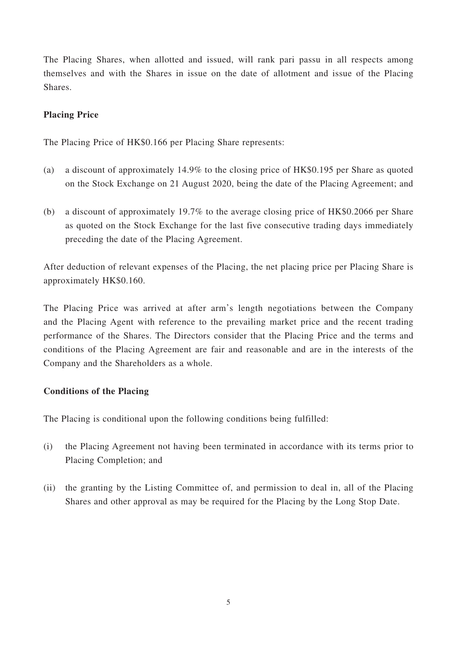The Placing Shares, when allotted and issued, will rank pari passu in all respects among themselves and with the Shares in issue on the date of allotment and issue of the Placing Shares.

#### **Placing Price**

The Placing Price of HK\$0.166 per Placing Share represents:

- (a) a discount of approximately 14.9% to the closing price of HK\$0.195 per Share as quoted on the Stock Exchange on 21 August 2020, being the date of the Placing Agreement; and
- (b) a discount of approximately 19.7% to the average closing price of HK\$0.2066 per Share as quoted on the Stock Exchange for the last five consecutive trading days immediately preceding the date of the Placing Agreement.

After deduction of relevant expenses of the Placing, the net placing price per Placing Share is approximately HK\$0.160.

The Placing Price was arrived at after arm's length negotiations between the Company and the Placing Agent with reference to the prevailing market price and the recent trading performance of the Shares. The Directors consider that the Placing Price and the terms and conditions of the Placing Agreement are fair and reasonable and are in the interests of the Company and the Shareholders as a whole.

#### **Conditions of the Placing**

The Placing is conditional upon the following conditions being fulfilled:

- (i) the Placing Agreement not having been terminated in accordance with its terms prior to Placing Completion; and
- (ii) the granting by the Listing Committee of, and permission to deal in, all of the Placing Shares and other approval as may be required for the Placing by the Long Stop Date.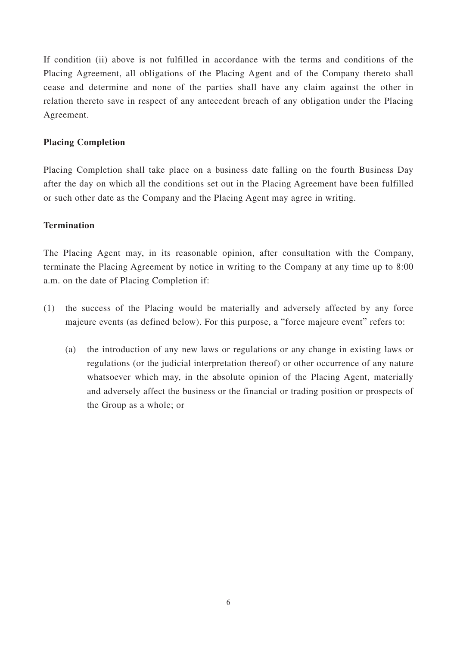If condition (ii) above is not fulfilled in accordance with the terms and conditions of the Placing Agreement, all obligations of the Placing Agent and of the Company thereto shall cease and determine and none of the parties shall have any claim against the other in relation thereto save in respect of any antecedent breach of any obligation under the Placing Agreement.

#### **Placing Completion**

Placing Completion shall take place on a business date falling on the fourth Business Day after the day on which all the conditions set out in the Placing Agreement have been fulfilled or such other date as the Company and the Placing Agent may agree in writing.

#### **Termination**

The Placing Agent may, in its reasonable opinion, after consultation with the Company, terminate the Placing Agreement by notice in writing to the Company at any time up to 8:00 a.m. on the date of Placing Completion if:

- (1) the success of the Placing would be materially and adversely affected by any force majeure events (as defined below). For this purpose, a "force majeure event" refers to:
	- (a) the introduction of any new laws or regulations or any change in existing laws or regulations (or the judicial interpretation thereof) or other occurrence of any nature whatsoever which may, in the absolute opinion of the Placing Agent, materially and adversely affect the business or the financial or trading position or prospects of the Group as a whole; or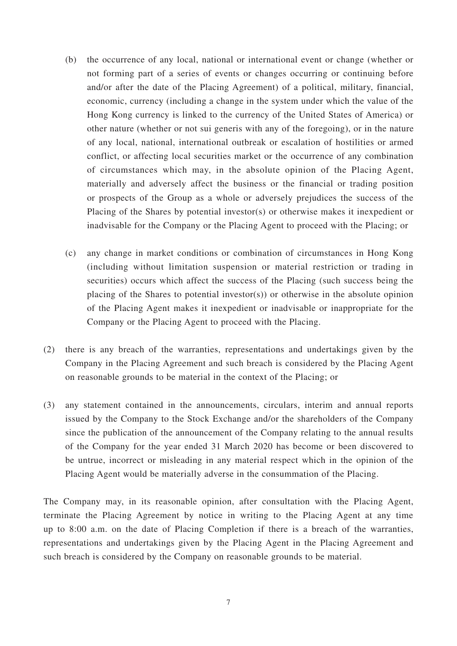- (b) the occurrence of any local, national or international event or change (whether or not forming part of a series of events or changes occurring or continuing before and/or after the date of the Placing Agreement) of a political, military, financial, economic, currency (including a change in the system under which the value of the Hong Kong currency is linked to the currency of the United States of America) or other nature (whether or not sui generis with any of the foregoing), or in the nature of any local, national, international outbreak or escalation of hostilities or armed conflict, or affecting local securities market or the occurrence of any combination of circumstances which may, in the absolute opinion of the Placing Agent, materially and adversely affect the business or the financial or trading position or prospects of the Group as a whole or adversely prejudices the success of the Placing of the Shares by potential investor(s) or otherwise makes it inexpedient or inadvisable for the Company or the Placing Agent to proceed with the Placing; or
- (c) any change in market conditions or combination of circumstances in Hong Kong (including without limitation suspension or material restriction or trading in securities) occurs which affect the success of the Placing (such success being the placing of the Shares to potential investor(s)) or otherwise in the absolute opinion of the Placing Agent makes it inexpedient or inadvisable or inappropriate for the Company or the Placing Agent to proceed with the Placing.
- (2) there is any breach of the warranties, representations and undertakings given by the Company in the Placing Agreement and such breach is considered by the Placing Agent on reasonable grounds to be material in the context of the Placing; or
- (3) any statement contained in the announcements, circulars, interim and annual reports issued by the Company to the Stock Exchange and/or the shareholders of the Company since the publication of the announcement of the Company relating to the annual results of the Company for the year ended 31 March 2020 has become or been discovered to be untrue, incorrect or misleading in any material respect which in the opinion of the Placing Agent would be materially adverse in the consummation of the Placing.

The Company may, in its reasonable opinion, after consultation with the Placing Agent, terminate the Placing Agreement by notice in writing to the Placing Agent at any time up to 8:00 a.m. on the date of Placing Completion if there is a breach of the warranties, representations and undertakings given by the Placing Agent in the Placing Agreement and such breach is considered by the Company on reasonable grounds to be material.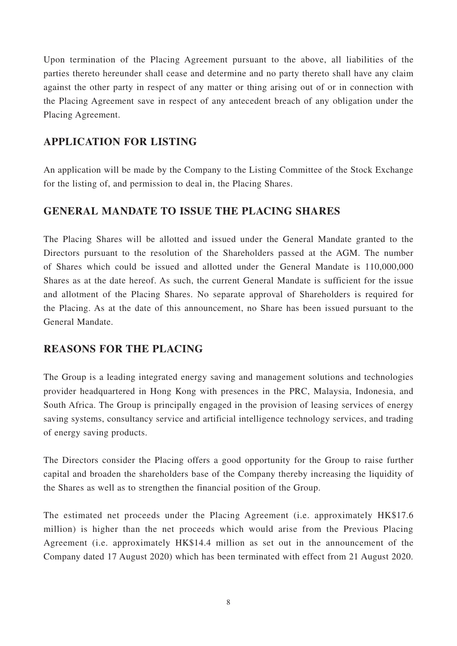Upon termination of the Placing Agreement pursuant to the above, all liabilities of the parties thereto hereunder shall cease and determine and no party thereto shall have any claim against the other party in respect of any matter or thing arising out of or in connection with the Placing Agreement save in respect of any antecedent breach of any obligation under the Placing Agreement.

### **APPLICATION FOR LISTING**

An application will be made by the Company to the Listing Committee of the Stock Exchange for the listing of, and permission to deal in, the Placing Shares.

### **GENERAL MANDATE TO ISSUE THE PLACING SHARES**

The Placing Shares will be allotted and issued under the General Mandate granted to the Directors pursuant to the resolution of the Shareholders passed at the AGM. The number of Shares which could be issued and allotted under the General Mandate is 110,000,000 Shares as at the date hereof. As such, the current General Mandate is sufficient for the issue and allotment of the Placing Shares. No separate approval of Shareholders is required for the Placing. As at the date of this announcement, no Share has been issued pursuant to the General Mandate.

### **REASONS FOR THE PLACING**

The Group is a leading integrated energy saving and management solutions and technologies provider headquartered in Hong Kong with presences in the PRC, Malaysia, Indonesia, and South Africa. The Group is principally engaged in the provision of leasing services of energy saving systems, consultancy service and artificial intelligence technology services, and trading of energy saving products.

The Directors consider the Placing offers a good opportunity for the Group to raise further capital and broaden the shareholders base of the Company thereby increasing the liquidity of the Shares as well as to strengthen the financial position of the Group.

The estimated net proceeds under the Placing Agreement (i.e. approximately HK\$17.6 million) is higher than the net proceeds which would arise from the Previous Placing Agreement (i.e. approximately HK\$14.4 million as set out in the announcement of the Company dated 17 August 2020) which has been terminated with effect from 21 August 2020.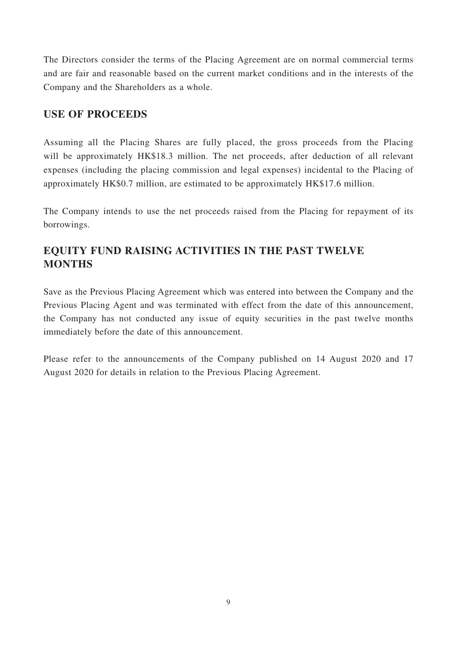The Directors consider the terms of the Placing Agreement are on normal commercial terms and are fair and reasonable based on the current market conditions and in the interests of the Company and the Shareholders as a whole.

### **USE OF PROCEEDS**

Assuming all the Placing Shares are fully placed, the gross proceeds from the Placing will be approximately HK\$18.3 million. The net proceeds, after deduction of all relevant expenses (including the placing commission and legal expenses) incidental to the Placing of approximately HK\$0.7 million, are estimated to be approximately HK\$17.6 million.

The Company intends to use the net proceeds raised from the Placing for repayment of its borrowings.

# **EQUITY FUND RAISING ACTIVITIES IN THE PAST TWELVE MONTHS**

Save as the Previous Placing Agreement which was entered into between the Company and the Previous Placing Agent and was terminated with effect from the date of this announcement, the Company has not conducted any issue of equity securities in the past twelve months immediately before the date of this announcement.

Please refer to the announcements of the Company published on 14 August 2020 and 17 August 2020 for details in relation to the Previous Placing Agreement.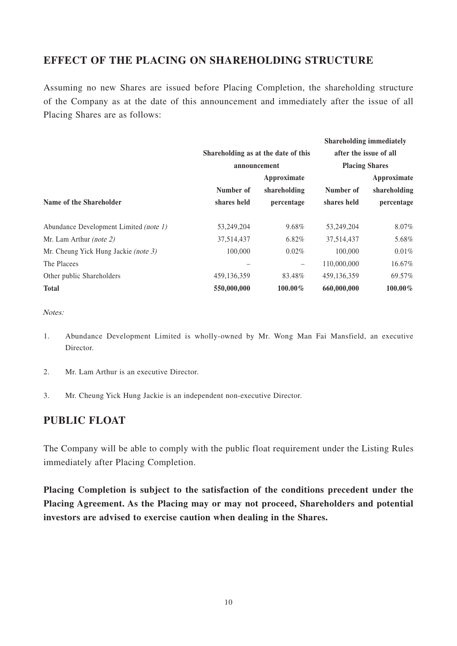### **EFFECT OF THE PLACING ON SHAREHOLDING STRUCTURE**

Assuming no new Shares are issued before Placing Completion, the shareholding structure of the Company as at the date of this announcement and immediately after the issue of all Placing Shares are as follows:

|                                        |                                                     |              |                                                 | <b>Shareholding immediately</b> |  |
|----------------------------------------|-----------------------------------------------------|--------------|-------------------------------------------------|---------------------------------|--|
|                                        | Shareholding as at the date of this<br>announcement |              | after the issue of all<br><b>Placing Shares</b> |                                 |  |
|                                        |                                                     |              |                                                 |                                 |  |
|                                        | Approximate                                         |              |                                                 | Approximate                     |  |
|                                        | Number of                                           | shareholding | Number of                                       | shareholding                    |  |
| Name of the Shareholder                | shares held                                         | percentage   | shares held                                     | percentage                      |  |
| Abundance Development Limited (note 1) | 53,249,204                                          | 9.68%        | 53,249,204                                      | 8.07%                           |  |
| Mr. Lam Arthur <i>(note 2)</i>         | 37,514,437                                          | 6.82%        | 37,514,437                                      | 5.68%                           |  |
| Mr. Cheung Yick Hung Jackie (note 3)   | 100,000                                             | $0.02\%$     | 100,000                                         | 0.01%                           |  |
| The Placees                            |                                                     | -            | 110,000,000                                     | 16.67%                          |  |
| Other public Shareholders              | 459, 136, 359                                       | 83.48%       | 459,136,359                                     | 69.57%                          |  |
| <b>Total</b>                           | 550,000,000                                         | $100.00\%$   | 660,000,000                                     | $100.00\%$                      |  |

Notes:

- 1. Abundance Development Limited is wholly-owned by Mr. Wong Man Fai Mansfield, an executive Director.
- 2. Mr. Lam Arthur is an executive Director.
- 3. Mr. Cheung Yick Hung Jackie is an independent non-executive Director.

#### **PUBLIC FLOAT**

The Company will be able to comply with the public float requirement under the Listing Rules immediately after Placing Completion.

**Placing Completion is subject to the satisfaction of the conditions precedent under the Placing Agreement. As the Placing may or may not proceed, Shareholders and potential investors are advised to exercise caution when dealing in the Shares.**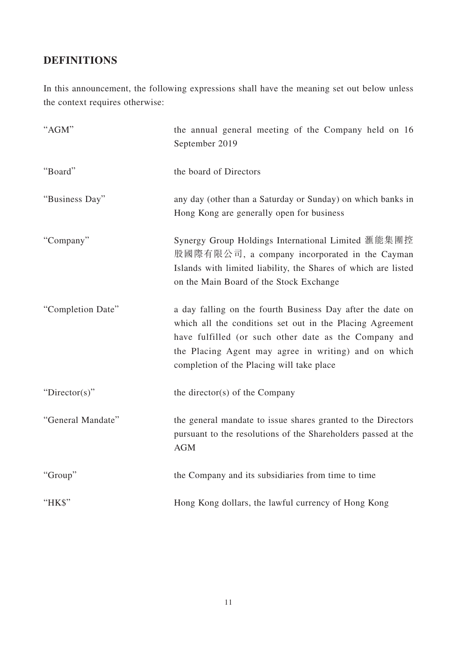## **DEFINITIONS**

In this announcement, the following expressions shall have the meaning set out below unless the context requires otherwise:

| "AGM"             | the annual general meeting of the Company held on 16<br>September 2019                                                                                                                                                                                                                |
|-------------------|---------------------------------------------------------------------------------------------------------------------------------------------------------------------------------------------------------------------------------------------------------------------------------------|
| "Board"           | the board of Directors                                                                                                                                                                                                                                                                |
| "Business Day"    | any day (other than a Saturday or Sunday) on which banks in<br>Hong Kong are generally open for business                                                                                                                                                                              |
| "Company"         | Synergy Group Holdings International Limited 滙能集團控<br>股國際有限公司, a company incorporated in the Cayman<br>Islands with limited liability, the Shares of which are listed<br>on the Main Board of the Stock Exchange                                                                      |
| "Completion Date" | a day falling on the fourth Business Day after the date on<br>which all the conditions set out in the Placing Agreement<br>have fulfilled (or such other date as the Company and<br>the Placing Agent may agree in writing) and on which<br>completion of the Placing will take place |
| "Director(s)"     | the director(s) of the Company                                                                                                                                                                                                                                                        |
| "General Mandate" | the general mandate to issue shares granted to the Directors<br>pursuant to the resolutions of the Shareholders passed at the<br><b>AGM</b>                                                                                                                                           |
| "Group"           | the Company and its subsidiaries from time to time                                                                                                                                                                                                                                    |
| "HK\$"            | Hong Kong dollars, the lawful currency of Hong Kong                                                                                                                                                                                                                                   |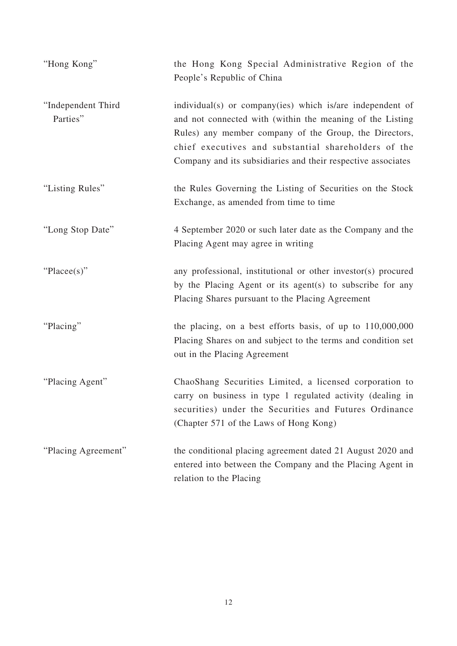| "Hong Kong"                    | the Hong Kong Special Administrative Region of the<br>People's Republic of China                                                                                                                                                                                                                         |
|--------------------------------|----------------------------------------------------------------------------------------------------------------------------------------------------------------------------------------------------------------------------------------------------------------------------------------------------------|
| "Independent Third<br>Parties" | individual(s) or company(ies) which is/are independent of<br>and not connected with (within the meaning of the Listing<br>Rules) any member company of the Group, the Directors,<br>chief executives and substantial shareholders of the<br>Company and its subsidiaries and their respective associates |
| "Listing Rules"                | the Rules Governing the Listing of Securities on the Stock<br>Exchange, as amended from time to time                                                                                                                                                                                                     |
| "Long Stop Date"               | 4 September 2020 or such later date as the Company and the<br>Placing Agent may agree in writing                                                                                                                                                                                                         |
| "Placee(s)"                    | any professional, institutional or other investor(s) procured<br>by the Placing Agent or its agent(s) to subscribe for any<br>Placing Shares pursuant to the Placing Agreement                                                                                                                           |
| "Placing"                      | the placing, on a best efforts basis, of up to $110,000,000$<br>Placing Shares on and subject to the terms and condition set<br>out in the Placing Agreement                                                                                                                                             |
| "Placing Agent"                | ChaoShang Securities Limited, a licensed corporation to<br>carry on business in type 1 regulated activity (dealing in<br>securities) under the Securities and Futures Ordinance<br>(Chapter 571 of the Laws of Hong Kong)                                                                                |
| "Placing Agreement"            | the conditional placing agreement dated 21 August 2020 and<br>entered into between the Company and the Placing Agent in<br>relation to the Placing                                                                                                                                                       |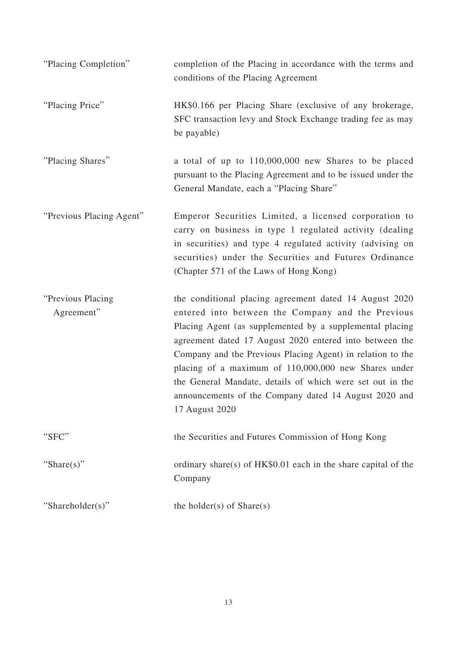| "Placing Completion"            | completion of the Placing in accordance with the terms and<br>conditions of the Placing Agreement                                                                                                                                                                                                                                                                                                                                                                                                |
|---------------------------------|--------------------------------------------------------------------------------------------------------------------------------------------------------------------------------------------------------------------------------------------------------------------------------------------------------------------------------------------------------------------------------------------------------------------------------------------------------------------------------------------------|
| "Placing Price"                 | HK\$0.166 per Placing Share (exclusive of any brokerage,<br>SFC transaction levy and Stock Exchange trading fee as may<br>be payable)                                                                                                                                                                                                                                                                                                                                                            |
| "Placing Shares"                | a total of up to 110,000,000 new Shares to be placed<br>pursuant to the Placing Agreement and to be issued under the<br>General Mandate, each a "Placing Share"                                                                                                                                                                                                                                                                                                                                  |
| "Previous Placing Agent"        | Emperor Securities Limited, a licensed corporation to<br>carry on business in type 1 regulated activity (dealing<br>in securities) and type 4 regulated activity (advising on<br>securities) under the Securities and Futures Ordinance<br>(Chapter 571 of the Laws of Hong Kong)                                                                                                                                                                                                                |
| "Previous Placing<br>Agreement" | the conditional placing agreement dated 14 August 2020<br>entered into between the Company and the Previous<br>Placing Agent (as supplemented by a supplemental placing<br>agreement dated 17 August 2020 entered into between the<br>Company and the Previous Placing Agent) in relation to the<br>placing of a maximum of 110,000,000 new Shares under<br>the General Mandate, details of which were set out in the<br>announcements of the Company dated 14 August 2020 and<br>17 August 2020 |
| "SFC"                           | the Securities and Futures Commission of Hong Kong                                                                                                                                                                                                                                                                                                                                                                                                                                               |
| "Share(s)"                      | ordinary share(s) of HK\$0.01 each in the share capital of the<br>Company                                                                                                                                                                                                                                                                                                                                                                                                                        |
| "Shareholder(s)"                | the holder(s) of $Share(s)$                                                                                                                                                                                                                                                                                                                                                                                                                                                                      |